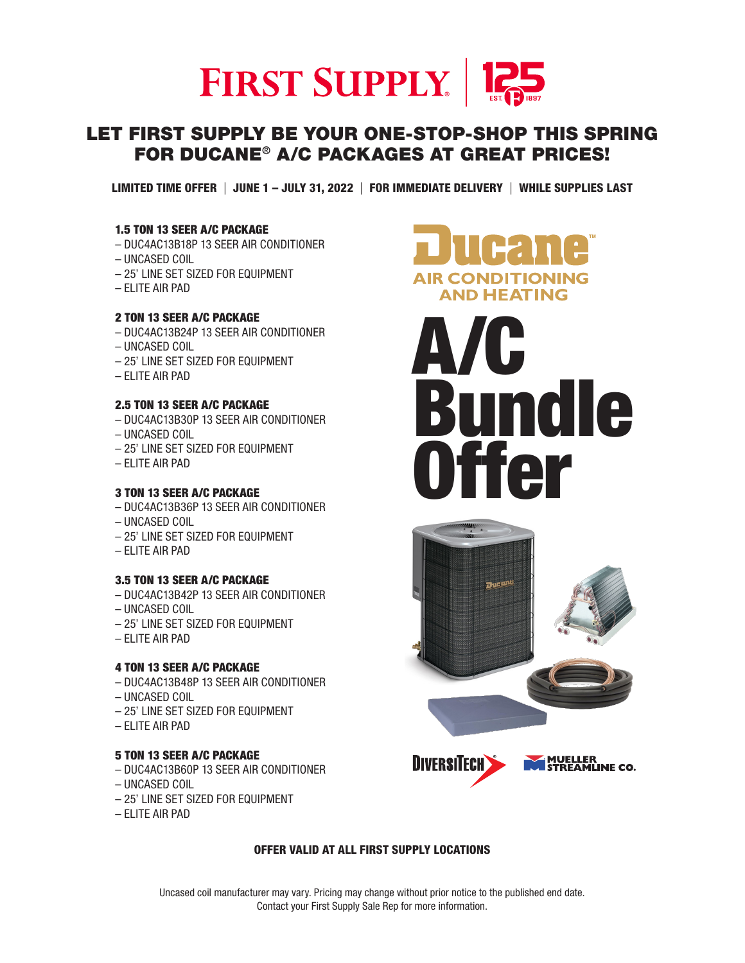

# LET FIRST SUPPLY BE YOUR ONE-STOP-SHOP THIS SPRING FOR DUCANE® A/C PACKAGES AT GREAT PRICES!

LIMITED TIME OFFER | JUNE 1 – JULY 31, 2022 | FOR IMMEDIATE DELIVERY | WHILE SUPPLIES LAST

#### 1.5 TON 13 SEER A/C PACKAGE

- DUC4AC13B18P 13 SEER AIR CONDITIONER
- UNCASED COIL
- 25' LINE SET SIZED FOR EQUIPMENT
- ELITE AIR PAD

# 2 TON 13 SEER A/C PACKAGE

- DUC4AC13B24P 13 SEER AIR CONDITIONER
- UNCASED COIL
- 25' LINE SET SIZED FOR EQUIPMENT
- ELITE AIR PAD

#### 2.5 TON 13 SEER A/C PACKAGE

- DUC4AC13B30P 13 SEER AIR CONDITIONER
- UNCASED COIL
- 25' LINE SET SIZED FOR EQUIPMENT
- ELITE AIR PAD

#### 3 TON 13 SEER A/C PACKAGE

- DUC4AC13B36P 13 SEER AIR CONDITIONER
- UNCASED COIL
- 25' LINE SET SIZED FOR EQUIPMENT
- ELITE AIR PAD

#### 3.5 TON 13 SEER A/C PACKAGE

- DUC4AC13B42P 13 SEER AIR CONDITIONER
- UNCASED COIL
- 25' LINE SET SIZED FOR EQUIPMENT
- ELITE AIR PAD

#### 4 TON 13 SEER A/C PACKAGE

- DUC4AC13B48P 13 SEER AIR CONDITIONER
- UNCASED COIL
- 25' LINE SET SIZED FOR EQUIPMENT
- ELITE AIR PAD

#### 5 TON 13 SEER A/C PACKAGE

- DUC4AC13B60P 13 SEER AIR CONDITIONER
- UNCASED COIL
- 25' LINE SET SIZED FOR EQUIPMENT
- ELITE AIR PAD









### OFFER VALID AT ALL FIRST SUPPLY LOCATIONS

Uncased coil manufacturer may vary. Pricing may change without prior notice to the published end date. Contact your First Supply Sale Rep for more information.